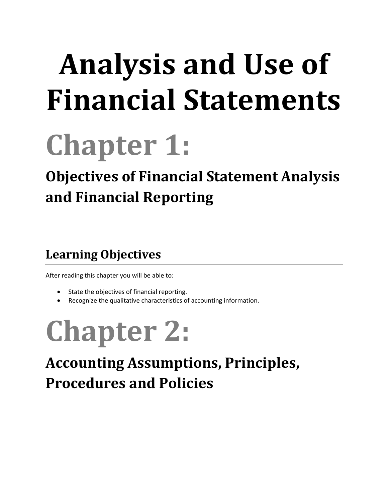# **Analysis and Use of Financial Statements**

## **Chapter 1:**

## **Objectives of Financial Statement Analysis and Financial Reporting**

### **Learning Objectives**

After reading this chapter you will be able to:

- State the objectives of financial reporting.
- Recognize the qualitative characteristics of accounting information.

# **Chapter 2:**

## **Accounting Assumptions, Principles, Procedures and Policies**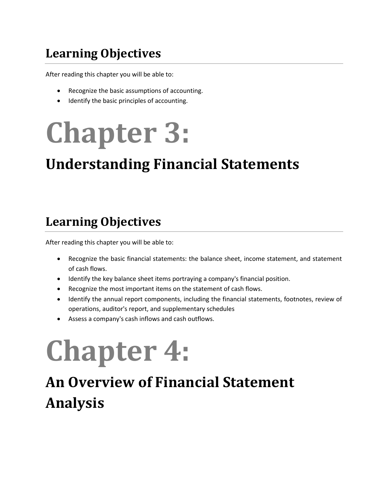#### **Learning Objectives**

After reading this chapter you will be able to:

- Recognize the basic assumptions of accounting.
- Identify the basic principles of accounting.

# **Chapter 3:**

### **Understanding Financial Statements**

#### **Learning Objectives**

After reading this chapter you will be able to:

- Recognize the basic financial statements: the balance sheet, income statement, and statement of cash flows.
- Identify the key balance sheet items portraying a company's financial position.
- Recognize the most important items on the statement of cash flows.
- Identify the annual report components, including the financial statements, footnotes, review of operations, auditor's report, and supplementary schedules
- Assess a company's cash inflows and cash outflows.

## **Chapter 4:**

## **An Overview of Financial Statement Analysis**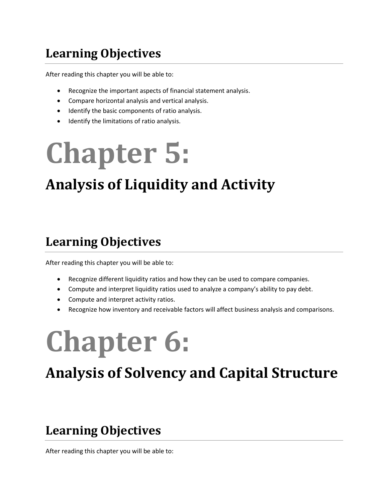#### **Learning Objectives**

After reading this chapter you will be able to:

- Recognize the important aspects of financial statement analysis.
- Compare horizontal analysis and vertical analysis.
- $\bullet$  Identify the basic components of ratio analysis.
- Identify the limitations of ratio analysis.

## **Chapter 5:**

## **Analysis of Liquidity and Activity**

#### **Learning Objectives**

After reading this chapter you will be able to:

- Recognize different liquidity ratios and how they can be used to compare companies.
- Compute and interpret liquidity ratios used to analyze a company's ability to pay debt.
- Compute and interpret activity ratios.
- Recognize how inventory and receivable factors will affect business analysis and comparisons.

## **Chapter 6:**

### **Analysis of Solvency and Capital Structure**

#### **Learning Objectives**

After reading this chapter you will be able to: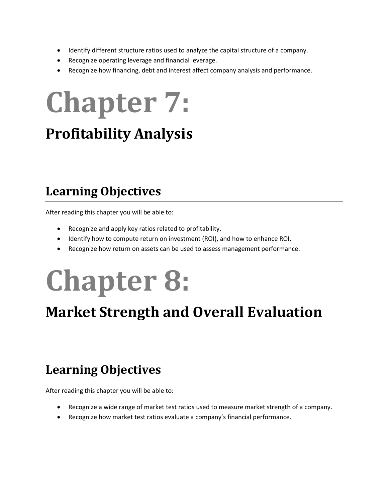- Identify different structure ratios used to analyze the capital structure of a company.
- Recognize operating leverage and financial leverage.
- Recognize how financing, debt and interest affect company analysis and performance.

## **Chapter 7:**

### **Profitability Analysis**

#### **Learning Objectives**

After reading this chapter you will be able to:

- Recognize and apply key ratios related to profitability.
- Identify how to compute return on investment (ROI), and how to enhance ROI.
- Recognize how return on assets can be used to assess management performance.

## **Chapter 8:**

### **Market Strength and Overall Evaluation**

#### **Learning Objectives**

After reading this chapter you will be able to:

- Recognize a wide range of market test ratios used to measure market strength of a company.
- Recognize how market test ratios evaluate a company's financial performance.